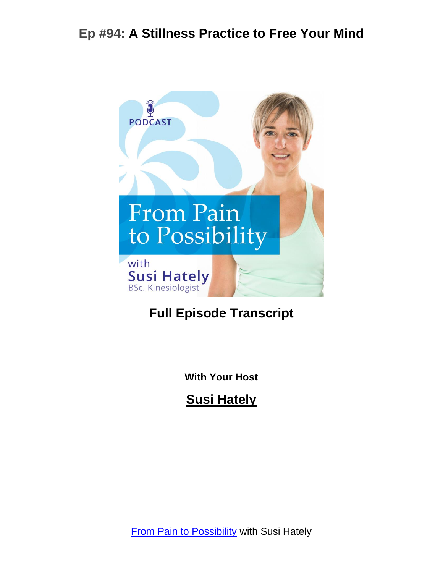

# **Full Episode Transcript**

**With Your Host**

**Susi Hately**

**[From Pain to Possibility](https://www.functionalsynergy.com/podcast/) with Susi Hately**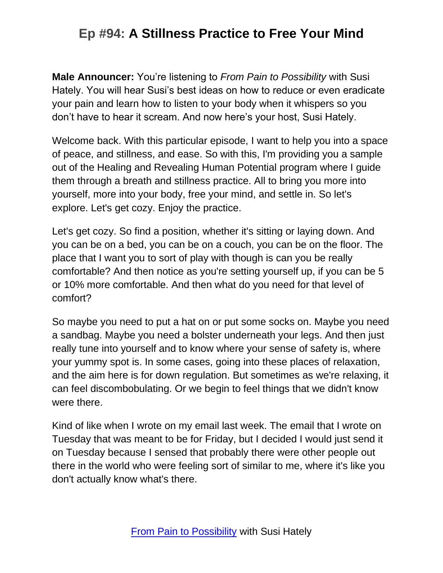**Male Announcer:** You're listening to *From Pain to Possibility* with Susi Hately. You will hear Susi's best ideas on how to reduce or even eradicate your pain and learn how to listen to your body when it whispers so you don't have to hear it scream. And now here's your host, Susi Hately.

Welcome back. With this particular episode, I want to help you into a space of peace, and stillness, and ease. So with this, I'm providing you a sample out of the Healing and Revealing Human Potential program where I guide them through a breath and stillness practice. All to bring you more into yourself, more into your body, free your mind, and settle in. So let's explore. Let's get cozy. Enjoy the practice.

Let's get cozy. So find a position, whether it's sitting or laying down. And you can be on a bed, you can be on a couch, you can be on the floor. The place that I want you to sort of play with though is can you be really comfortable? And then notice as you're setting yourself up, if you can be 5 or 10% more comfortable. And then what do you need for that level of comfort?

So maybe you need to put a hat on or put some socks on. Maybe you need a sandbag. Maybe you need a bolster underneath your legs. And then just really tune into yourself and to know where your sense of safety is, where your yummy spot is. In some cases, going into these places of relaxation, and the aim here is for down regulation. But sometimes as we're relaxing, it can feel discombobulating. Or we begin to feel things that we didn't know were there.

Kind of like when I wrote on my email last week. The email that I wrote on Tuesday that was meant to be for Friday, but I decided I would just send it on Tuesday because I sensed that probably there were other people out there in the world who were feeling sort of similar to me, where it's like you don't actually know what's there.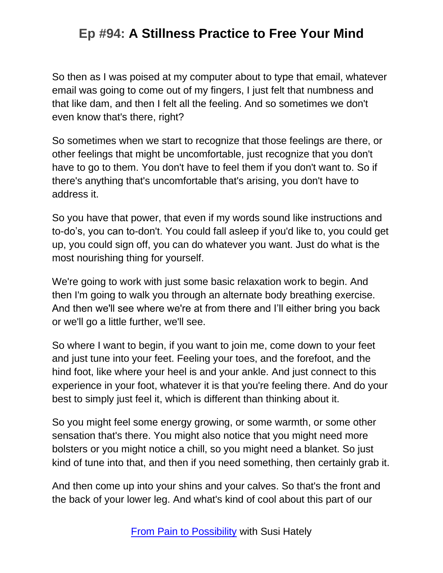So then as I was poised at my computer about to type that email, whatever email was going to come out of my fingers, I just felt that numbness and that like dam, and then I felt all the feeling. And so sometimes we don't even know that's there, right?

So sometimes when we start to recognize that those feelings are there, or other feelings that might be uncomfortable, just recognize that you don't have to go to them. You don't have to feel them if you don't want to. So if there's anything that's uncomfortable that's arising, you don't have to address it.

So you have that power, that even if my words sound like instructions and to-do's, you can to-don't. You could fall asleep if you'd like to, you could get up, you could sign off, you can do whatever you want. Just do what is the most nourishing thing for yourself.

We're going to work with just some basic relaxation work to begin. And then I'm going to walk you through an alternate body breathing exercise. And then we'll see where we're at from there and I'll either bring you back or we'll go a little further, we'll see.

So where I want to begin, if you want to join me, come down to your feet and just tune into your feet. Feeling your toes, and the forefoot, and the hind foot, like where your heel is and your ankle. And just connect to this experience in your foot, whatever it is that you're feeling there. And do your best to simply just feel it, which is different than thinking about it.

So you might feel some energy growing, or some warmth, or some other sensation that's there. You might also notice that you might need more bolsters or you might notice a chill, so you might need a blanket. So just kind of tune into that, and then if you need something, then certainly grab it.

And then come up into your shins and your calves. So that's the front and the back of your lower leg. And what's kind of cool about this part of our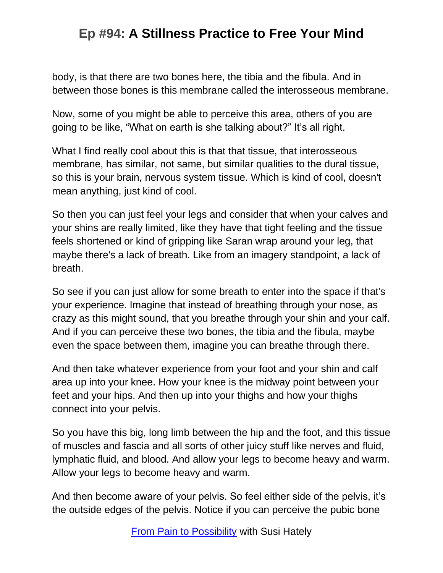body, is that there are two bones here, the tibia and the fibula. And in between those bones is this membrane called the interosseous membrane.

Now, some of you might be able to perceive this area, others of you are going to be like, "What on earth is she talking about?" It's all right.

What I find really cool about this is that that tissue, that interosseous membrane, has similar, not same, but similar qualities to the dural tissue, so this is your brain, nervous system tissue. Which is kind of cool, doesn't mean anything, just kind of cool.

So then you can just feel your legs and consider that when your calves and your shins are really limited, like they have that tight feeling and the tissue feels shortened or kind of gripping like Saran wrap around your leg, that maybe there's a lack of breath. Like from an imagery standpoint, a lack of breath.

So see if you can just allow for some breath to enter into the space if that's your experience. Imagine that instead of breathing through your nose, as crazy as this might sound, that you breathe through your shin and your calf. And if you can perceive these two bones, the tibia and the fibula, maybe even the space between them, imagine you can breathe through there.

And then take whatever experience from your foot and your shin and calf area up into your knee. How your knee is the midway point between your feet and your hips. And then up into your thighs and how your thighs connect into your pelvis.

So you have this big, long limb between the hip and the foot, and this tissue of muscles and fascia and all sorts of other juicy stuff like nerves and fluid, lymphatic fluid, and blood. And allow your legs to become heavy and warm. Allow your legs to become heavy and warm.

And then become aware of your pelvis. So feel either side of the pelvis, it's the outside edges of the pelvis. Notice if you can perceive the pubic bone

[From Pain to Possibility](https://www.functionalsynergy.com/podcast/) with Susi Hately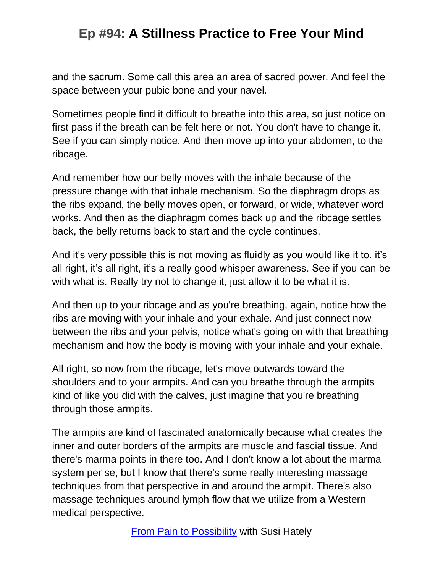and the sacrum. Some call this area an area of sacred power. And feel the space between your pubic bone and your navel.

Sometimes people find it difficult to breathe into this area, so just notice on first pass if the breath can be felt here or not. You don't have to change it. See if you can simply notice. And then move up into your abdomen, to the ribcage.

And remember how our belly moves with the inhale because of the pressure change with that inhale mechanism. So the diaphragm drops as the ribs expand, the belly moves open, or forward, or wide, whatever word works. And then as the diaphragm comes back up and the ribcage settles back, the belly returns back to start and the cycle continues.

And it's very possible this is not moving as fluidly as you would like it to. it's all right, it's all right, it's a really good whisper awareness. See if you can be with what is. Really try not to change it, just allow it to be what it is.

And then up to your ribcage and as you're breathing, again, notice how the ribs are moving with your inhale and your exhale. And just connect now between the ribs and your pelvis, notice what's going on with that breathing mechanism and how the body is moving with your inhale and your exhale.

All right, so now from the ribcage, let's move outwards toward the shoulders and to your armpits. And can you breathe through the armpits kind of like you did with the calves, just imagine that you're breathing through those armpits.

The armpits are kind of fascinated anatomically because what creates the inner and outer borders of the armpits are muscle and fascial tissue. And there's marma points in there too. And I don't know a lot about the marma system per se, but I know that there's some really interesting massage techniques from that perspective in and around the armpit. There's also massage techniques around lymph flow that we utilize from a Western medical perspective.

[From Pain to Possibility](https://www.functionalsynergy.com/podcast/) with Susi Hately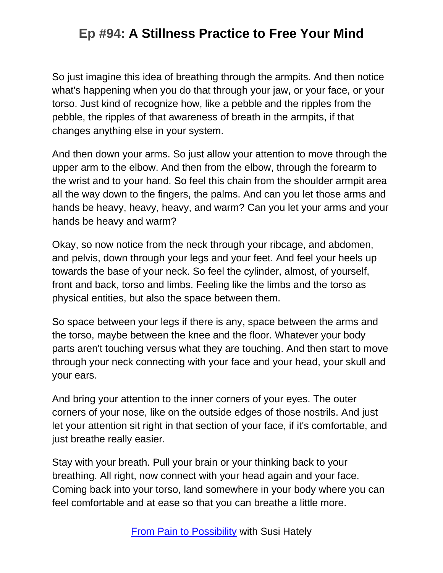So just imagine this idea of breathing through the armpits. And then notice what's happening when you do that through your jaw, or your face, or your torso. Just kind of recognize how, like a pebble and the ripples from the pebble, the ripples of that awareness of breath in the armpits, if that changes anything else in your system.

And then down your arms. So just allow your attention to move through the upper arm to the elbow. And then from the elbow, through the forearm to the wrist and to your hand. So feel this chain from the shoulder armpit area all the way down to the fingers, the palms. And can you let those arms and hands be heavy, heavy, heavy, and warm? Can you let your arms and your hands be heavy and warm?

Okay, so now notice from the neck through your ribcage, and abdomen, and pelvis, down through your legs and your feet. And feel your heels up towards the base of your neck. So feel the cylinder, almost, of yourself, front and back, torso and limbs. Feeling like the limbs and the torso as physical entities, but also the space between them.

So space between your legs if there is any, space between the arms and the torso, maybe between the knee and the floor. Whatever your body parts aren't touching versus what they are touching. And then start to move through your neck connecting with your face and your head, your skull and your ears.

And bring your attention to the inner corners of your eyes. The outer corners of your nose, like on the outside edges of those nostrils. And just let your attention sit right in that section of your face, if it's comfortable, and just breathe really easier.

Stay with your breath. Pull your brain or your thinking back to your breathing. All right, now connect with your head again and your face. Coming back into your torso, land somewhere in your body where you can feel comfortable and at ease so that you can breathe a little more.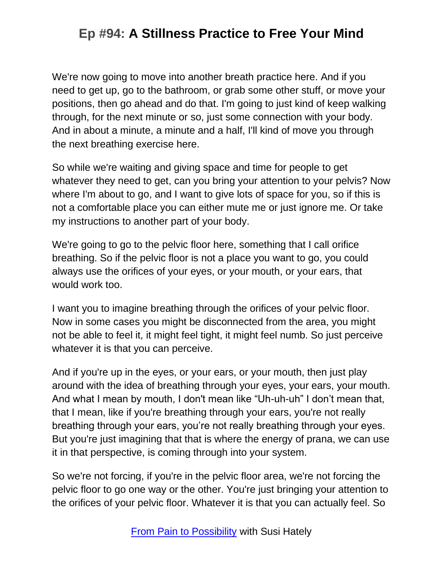We're now going to move into another breath practice here. And if you need to get up, go to the bathroom, or grab some other stuff, or move your positions, then go ahead and do that. I'm going to just kind of keep walking through, for the next minute or so, just some connection with your body. And in about a minute, a minute and a half, I'll kind of move you through the next breathing exercise here.

So while we're waiting and giving space and time for people to get whatever they need to get, can you bring your attention to your pelvis? Now where I'm about to go, and I want to give lots of space for you, so if this is not a comfortable place you can either mute me or just ignore me. Or take my instructions to another part of your body.

We're going to go to the pelvic floor here, something that I call orifice breathing. So if the pelvic floor is not a place you want to go, you could always use the orifices of your eyes, or your mouth, or your ears, that would work too.

I want you to imagine breathing through the orifices of your pelvic floor. Now in some cases you might be disconnected from the area, you might not be able to feel it, it might feel tight, it might feel numb. So just perceive whatever it is that you can perceive.

And if you're up in the eyes, or your ears, or your mouth, then just play around with the idea of breathing through your eyes, your ears, your mouth. And what I mean by mouth, I don't mean like "Uh-uh-uh" I don't mean that, that I mean, like if you're breathing through your ears, you're not really breathing through your ears, you're not really breathing through your eyes. But you're just imagining that that is where the energy of prana, we can use it in that perspective, is coming through into your system.

So we're not forcing, if you're in the pelvic floor area, we're not forcing the pelvic floor to go one way or the other. You're just bringing your attention to the orifices of your pelvic floor. Whatever it is that you can actually feel. So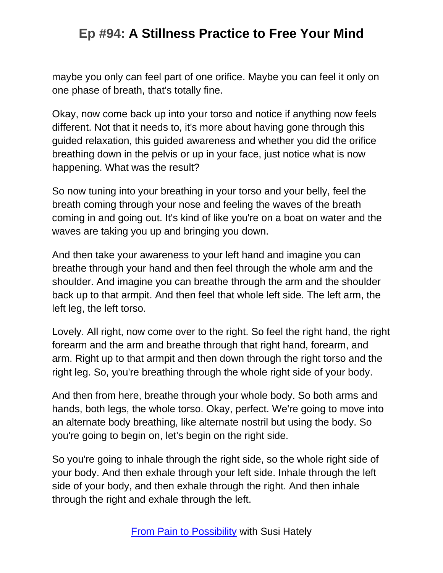maybe you only can feel part of one orifice. Maybe you can feel it only on one phase of breath, that's totally fine.

Okay, now come back up into your torso and notice if anything now feels different. Not that it needs to, it's more about having gone through this guided relaxation, this guided awareness and whether you did the orifice breathing down in the pelvis or up in your face, just notice what is now happening. What was the result?

So now tuning into your breathing in your torso and your belly, feel the breath coming through your nose and feeling the waves of the breath coming in and going out. It's kind of like you're on a boat on water and the waves are taking you up and bringing you down.

And then take your awareness to your left hand and imagine you can breathe through your hand and then feel through the whole arm and the shoulder. And imagine you can breathe through the arm and the shoulder back up to that armpit. And then feel that whole left side. The left arm, the left leg, the left torso.

Lovely. All right, now come over to the right. So feel the right hand, the right forearm and the arm and breathe through that right hand, forearm, and arm. Right up to that armpit and then down through the right torso and the right leg. So, you're breathing through the whole right side of your body.

And then from here, breathe through your whole body. So both arms and hands, both legs, the whole torso. Okay, perfect. We're going to move into an alternate body breathing, like alternate nostril but using the body. So you're going to begin on, let's begin on the right side.

So you're going to inhale through the right side, so the whole right side of your body. And then exhale through your left side. Inhale through the left side of your body, and then exhale through the right. And then inhale through the right and exhale through the left.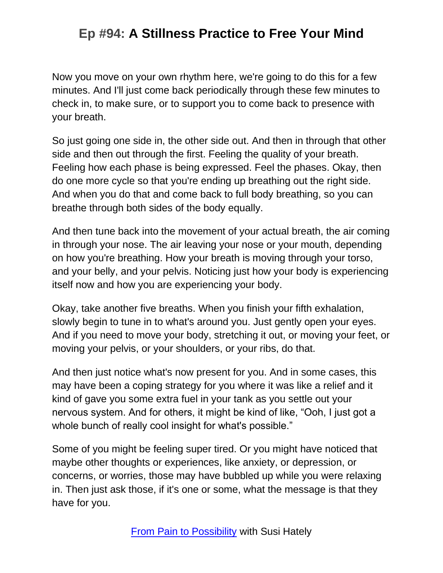Now you move on your own rhythm here, we're going to do this for a few minutes. And I'll just come back periodically through these few minutes to check in, to make sure, or to support you to come back to presence with your breath.

So just going one side in, the other side out. And then in through that other side and then out through the first. Feeling the quality of your breath. Feeling how each phase is being expressed. Feel the phases. Okay, then do one more cycle so that you're ending up breathing out the right side. And when you do that and come back to full body breathing, so you can breathe through both sides of the body equally.

And then tune back into the movement of your actual breath, the air coming in through your nose. The air leaving your nose or your mouth, depending on how you're breathing. How your breath is moving through your torso, and your belly, and your pelvis. Noticing just how your body is experiencing itself now and how you are experiencing your body.

Okay, take another five breaths. When you finish your fifth exhalation, slowly begin to tune in to what's around you. Just gently open your eyes. And if you need to move your body, stretching it out, or moving your feet, or moving your pelvis, or your shoulders, or your ribs, do that.

And then just notice what's now present for you. And in some cases, this may have been a coping strategy for you where it was like a relief and it kind of gave you some extra fuel in your tank as you settle out your nervous system. And for others, it might be kind of like, "Ooh, I just got a whole bunch of really cool insight for what's possible."

Some of you might be feeling super tired. Or you might have noticed that maybe other thoughts or experiences, like anxiety, or depression, or concerns, or worries, those may have bubbled up while you were relaxing in. Then just ask those, if it's one or some, what the message is that they have for you.